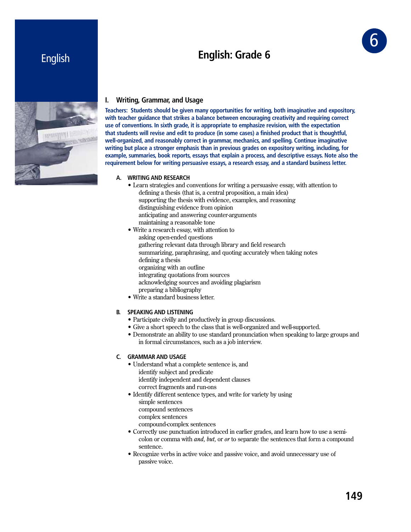# **English: Grade 6**



# English



## **I. Writing, Grammar, and Usage**

**Teachers: Students should be given many opportunities for writing, both imaginative and expository, with teacher guidance that strikes a balance between encouraging creativity and requiring correct use of conventions. In sixth grade, it is appropriate to emphasize revision, with the expectation that students will revise and edit to produce (in some cases) a finished product that is thoughtful, well-organized, and reasonably correct in grammar, mechanics, and spelling. Continue imaginative writing but place a stronger emphasis than in previous grades on expository writing, including, for example, summaries, book reports, essays that explain a process, and descriptive essays. Note also the requirement below for writing persuasive essays, a research essay, and a standard business letter.**

## **A. WRITING AND RESEARCH**

- Learn strategies and conventions for writing a persuasive essay, with attention to defining a thesis (that is, a central proposition, a main idea) supporting the thesis with evidence, examples, and reasoning distinguishing evidence from opinion anticipating and answering counter-arguments maintaining a reasonable tone
- Write a research essay, with attention to asking open-ended questions gathering relevant data through library and field research summarizing, paraphrasing, and quoting accurately when taking notes defining a thesis organizing with an outline integrating quotations from sources acknowledging sources and avoiding plagiarism preparing a bibliography • Write a standard business letter.

## **B. SPEAKING AND LISTENING**

- Participate civilly and productively in group discussions.
- $\bullet$  Give a short speech to the class that is well-organized and well-supported.
- Demonstrate an ability to use standard pronunciation when speaking to large groups and in formal circumstances, such as a job interview.

### **C. GRAMMAR AND USAGE**

- Understand what a complete sentence is, and identify subject and predicate identify independent and dependent clauses correct fragments and run-ons
- Identify different sentence types, and write for variety by using
	- simple sentences
	- compound sentences
	- complex sentences
	- compound-complex sentences
- Correctly use punctuation introduced in earlier grades, and learn how to use a semicolon or comma with *and, but,* or *or* to separate the sentences that form a compound sentence.
- Recognize verbs in active voice and passive voice, and avoid unnecessary use of passive voice.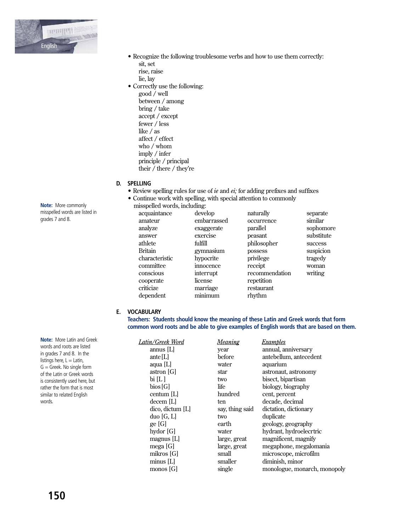

• Recognize the following troublesome verbs and how to use them correctly:

sit, set rise, raise lie, lay • Correctly use the following:  $\operatorname{good}$  / well between / among bring / take accept / except

fewer / less like  $\ell$  as affect  $/$  effect who / whom imply / infer principle / principal their / there / they're

D. SPELLING

- $\bullet$  Review spelling rules for use of *ie* and *ei*; for adding prefixes and suffixes
- Continue work with spelling, with special attention to commonly
	- misspelled words, including:

| acquaintance   | develop     | naturally      | separate   |
|----------------|-------------|----------------|------------|
| amateur        | embarrassed | occurrence     | similar    |
| analyze        | exaggerate  | parallel       | sophomore  |
| answer         | exercise    | peasant        | substitute |
| athlete        | fulfill     | philosopher    | success    |
| <b>Britain</b> | gymnasium   | possess        | suspicion  |
| characteristic | hypocrite   | privilege      | tragedy    |
| committee      | innocence   | receipt        | woman      |
| conscious      | interrupt   | recommendation | writing    |
| cooperate      | license     | repetition     |            |
| criticize      | marriage    | restaurant     |            |
| dependent      | minimum     | rhythm         |            |
|                |             |                |            |

## E. VOCABULARY

Teachers: Students should know the meaning of these Latin and Greek words that form common word roots and be able to give examples of English words that are based on them.

| Latin/Greek Word   | <u>Meaning</u>  | Examples                     |
|--------------------|-----------------|------------------------------|
| $annus$ [L]        | year            | annual, anniversary          |
| ante [ $L$ ]       | before          | antebellum, antecedent       |
| aqua [L]           | water           | aquarium                     |
| astron [G]         | star            | astronaut, astronomy         |
| bi [L]             | two             | bisect, bipartisan           |
| bias[G]            | life            | biology, biography           |
| centum [L]         | hundred         | cent, percent                |
| decem [L]          | ten             | decade, decimal              |
| dico, dictum [L]   | say, thing said | dictation, dictionary        |
| duo[G, L]          | two             | duplicate                    |
| ge [G]             | earth           | geology, geography           |
| hydor [G]          | water           | hydrant, hydroelecrtric      |
| magnus [L]         | large, great    | magnificent, magnify         |
| mega $[G]$         | large, great    | megaphone, megalomania       |
| mikros [G]         | small           | microscope, microfilm        |
| minus [L]          | smaller         | diminish, minor              |
| $\text{monos}$ [G] | single          | monologue, monarch, monopoly |
|                    |                 |                              |

Note: More commonly misspelled words are listed in grades 7 and 8.

Note: More Latin and Greek words and roots are listed in grades 7 and 8. In the listings here,  $L =$  Latin,  $G =$  Greek. No single form of the Latin or Greek words is consistently used here, but rather the form that is most similar to related English words.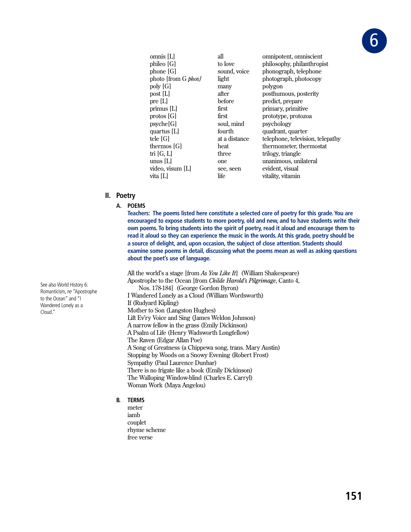

| omnis [L]           | all           | omnipotent, omniscient           |
|---------------------|---------------|----------------------------------|
| phileo [G]          | to love       | philosophy, philanthropist       |
| phone [G]           | sound, voice  | phonograph, telephone            |
| photo [from G phos] | light         | photograph, photocopy            |
| poly [G]            | many          | polygon                          |
| post [L]            | after         | posthumous, posterity            |
| pre [L]             | before        | predict, prepare                 |
| primus [L]          | first         | primary, primitive               |
| protos [G]          | first         | prototype, protozoa              |
| psycle[G]           | soul, mind    | psychology                       |
| quartus [L]         | fourth        | quadrant, quarter                |
| tele [G]            | at a distance | telephone, television, telepathy |
| thermos [G]         | heat          | thermometer, thermostat          |
| tri [G, L]          | three         | trilogy, triangle                |
| unus [L]            | one           | unanimous, unilateral            |
| video, visum [L]    | see, seen     | evident, visual                  |
| vita [L]            | life          | vitality, vitamin                |
|                     |               |                                  |

## **II. Poetry**

#### **A. POEMS**

 **Teachers: The poems listed here constitute a selected core of poetry for this grade. You are encouraged to expose students to more poetry, old and new, and to have students write their own poems. To bring students into the spirit of poetry, read it aloud and encourage them to read it aloud so they can experience the music in the words. At this grade, poetry should be a source of delight, and, upon occasion, the subject of close attention. Students should examine some poems in detail, discussing what the poems mean as well as asking questions about the poet's use of language.**

All the world's a stage [from As You Like It] (William Shakespeare) Apostrophe to the Ocean [from *Childe Harold's Pilgrimage*, Canto 4, Nos. 178-184] (George Gordon Byron) I Wandered Lonely as a Cloud (William Wordsworth) If (Rudyard Kipling) Mother to Son (Langston Hughes) Lift Ev'ry Voice and Sing (James Weldon Johnson) A narrow fellow in the grass (Emily Dickinson) A Psalm of Life (Henry Wadsworth Longfellow) The Raven (Edgar Allan Poe) A Song of Greatness (a Chippewa song, trans. Mary Austin) Stopping by Woods on a Snowy Evening (Robert Frost) Sympathy (Paul Laurence Dunbar) There is no frigate like a book (Emily Dickinson) The Walloping Window-blind (Charles E. Carryl) Woman Work (Maya Angelou)

- **B. TERMS**
	- meter iamb couplet rhyme scheme free verse

See also World History 6: Romanticism, *re* "Apostrophe to the Ocean" and "I Wandered Lonely as a Cloud."